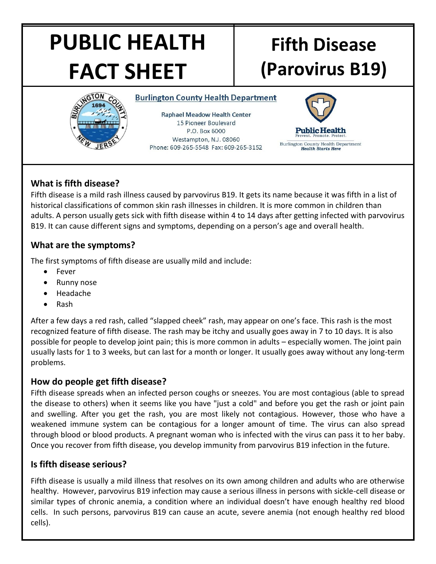# **PUBLIC HEALTH FACT SHEET**

# **Fifth Disease (Parovirus B19)**



**Burlington County Health Department** 

**Raphael Meadow Health Center** 15 Pioneer Boulevard P.O. Box 6000 Westampton, N.J. 08060 Phone: 609-265-5548 Fax: 609-265-3152



# **What is fifth disease?**

Fifth disease is a mild rash illness caused by parvovirus B19. It gets its name because it was fifth in a list of historical classifications of common skin rash illnesses in children. It is more common in children than adults. A person usually gets sick with fifth disease within 4 to 14 days after getting infected with parvovirus B19. It can cause different signs and symptoms, depending on a person's age and overall health.

## **What are the symptoms?**

The first symptoms of fifth disease are usually mild and include:

- Fever
- Runny nose
- Headache
- Rash

After a few days a red rash, called "slapped cheek" rash, may appear on one's face. This rash is the most recognized feature of fifth disease. The rash may be itchy and usually goes away in 7 to 10 days. It is also possible for people to develop joint pain; this is more common in adults – especially women. The joint pain usually lasts for 1 to 3 weeks, but can last for a month or longer. It usually goes away without any long-term problems.

### **How do people get fifth disease?**

Fifth disease spreads when an infected person coughs or sneezes. You are most contagious (able to spread the disease to others) when it seems like you have "just a cold" and before you get the rash or joint pain and swelling. After you get the rash, you are most likely not contagious. However, those who have a weakened immune system can be contagious for a longer amount of time. The virus can also spread through blood or blood products. A pregnant woman who is infected with the virus can pass it to her baby. Once you recover from fifth disease, you develop immunity from parvovirus B19 infection in the future.

# **Is fifth disease serious?**

Fifth disease is usually a mild illness that resolves on its own among children and adults who are otherwise healthy. However, parvovirus B19 infection may cause a serious illness in persons with sickle-cell disease or similar types of chronic anemia, a condition where an individual doesn't have enough healthy red blood cells. In such persons, parvovirus B19 can cause an acute, severe anemia (not enough healthy red blood cells).